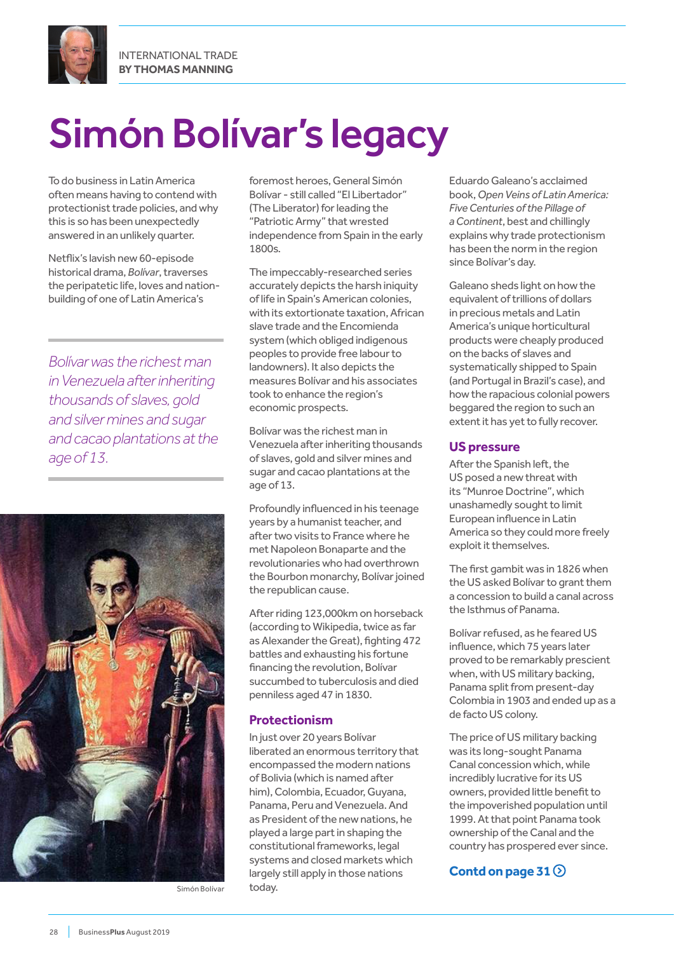



# Simón Bolívar's legacy

To do business in Latin America often means having to contend with protectionist trade policies, and why this is so has been unexpectedly answered in an unlikely quarter.

Netflix's lavish new 60-episode historical drama, *Bolívar*, traverses the peripatetic life, loves and nationbuilding of one of Latin America's

*Bolívar was the richest man in Venezuela after inheriting thousands of slaves, gold and silver mines and sugar and cacao plantations at the age of 13.*



Simón Bolívar today.

foremost heroes, General Simón Bolívar - still called "El Libertador" (The Liberator) for leading the "Patriotic Army" that wrested independence from Spain in the early 1800s.

The impeccably-researched series accurately depicts the harsh iniquity of life in Spain's American colonies, with its extortionate taxation, African slave trade and the Encomienda system (which obliged indigenous peoples to provide free labour to landowners). It also depicts the measures Bolívar and his associates took to enhance the region's economic prospects.

Bolívar was the richest man in Venezuela after inheriting thousands of slaves, gold and silver mines and sugar and cacao plantations at the age of 13.

Profoundly influenced in his teenage years by a humanist teacher, and after two visits to France where he met Napoleon Bonaparte and the revolutionaries who had overthrown the Bourbon monarchy, Bolívar joined the republican cause.

After riding 123,000km on horseback (according to Wikipedia, twice as far as Alexander the Great), fighting 472 battles and exhausting his fortune financing the revolution, Bolívar succumbed to tuberculosis and died penniless aged 47 in 1830.

#### **Protectionism**

In just over 20 years Bolívar liberated an enormous territory that encompassed the modern nations of Bolivia (which is named after him), Colombia, Ecuador, Guyana, Panama, Peru and Venezuela. And as President of the new nations, he played a large part in shaping the constitutional frameworks, legal systems and closed markets which largely still apply in those nations

Eduardo Galeano's acclaimed book, *Open Veins of Latin America: Five Centuries of the Pillage of a Continent*, best and chillingly explains why trade protectionism has been the norm in the region since Bolívar's day.

Galeano sheds light on how the equivalent of trillions of dollars in precious metals and Latin America's unique horticultural products were cheaply produced on the backs of slaves and systematically shipped to Spain (and Portugal in Brazil's case), and how the rapacious colonial powers beggared the region to such an extent it has yet to fully recover.

#### **US pressure**

After the Spanish left, the US posed a new threat with its "Munroe Doctrine", which unashamedly sought to limit European influence in Latin America so they could more freely exploit it themselves.

The first gambit was in 1826 when the US asked Bolívar to grant them a concession to build a canal across the Isthmus of Panama.

Bolívar refused, as he feared US influence, which 75 years later proved to be remarkably prescient when, with US military backing, Panama split from present-day Colombia in 1903 and ended up as a de facto US colony.

The price of US military backing was its long-sought Panama Canal concession which, while incredibly lucrative for its US owners, provided little benefit to the impoverished population until 1999. At that point Panama took ownership of the Canal and the country has prospered ever since.

#### **Contd on page 31**